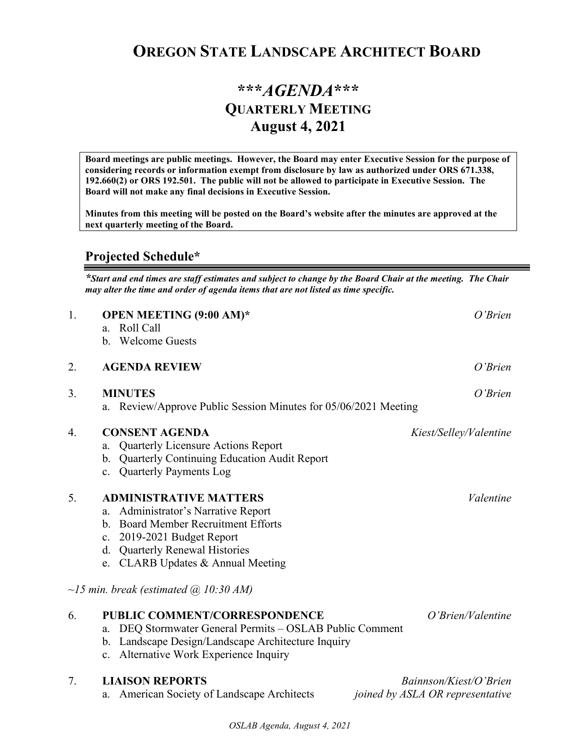## **OREGON STATE LANDSCAPE ARCHITECT BOARD**

## **\*\*\****AGENDA***\*\*\* QUARTERLY MEETING August 4, 2021**

**Board meetings are public meetings. However, the Board may enter Executive Session for the purpose of considering records or information exempt from disclosure by law as authorized under ORS 671.338, 192.660(2) or ORS 192.501. The public will not be allowed to participate in Executive Session. The Board will not make any final decisions in Executive Session.** 

**Minutes from this meeting will be posted on the Board's website after the minutes are approved at the next quarterly meeting of the Board.**

## **Projected Schedule\***

*\*Start and end times are staff estimates and subject to change by the Board Chair at the meeting. The Chair may alter the time and order of agenda items that are not listed as time specific.* 

| 1. | <b>OPEN MEETING (9:00 AM)*</b><br>Roll Call<br>a <sub>1</sub><br>b. Welcome Guests                                                                                                                                                                        | $O'$ Brien                                                 |
|----|-----------------------------------------------------------------------------------------------------------------------------------------------------------------------------------------------------------------------------------------------------------|------------------------------------------------------------|
| 2. | <b>AGENDA REVIEW</b>                                                                                                                                                                                                                                      | O'Brien                                                    |
| 3. | <b>MINUTES</b><br>Review/Approve Public Session Minutes for 05/06/2021 Meeting<br>a.                                                                                                                                                                      | O'Brien                                                    |
| 4. | <b>CONSENT AGENDA</b><br>Quarterly Licensure Actions Report<br>a.<br>Quarterly Continuing Education Audit Report<br>b.<br><b>Quarterly Payments Log</b><br>$\mathbf{c}$ .                                                                                 | Kiest/Selley/Valentine                                     |
| 5. | <b>ADMINISTRATIVE MATTERS</b><br>Administrator's Narrative Report<br>a.<br><b>Board Member Recruitment Efforts</b><br>$\mathbf{b}$ .<br>2019-2021 Budget Report<br>c.<br><b>Quarterly Renewal Histories</b><br>d.<br>CLARB Updates & Annual Meeting<br>e. | Valentine                                                  |
|    | $\sim$ 15 min. break (estimated $\omega$ 10:30 AM)                                                                                                                                                                                                        |                                                            |
| 6. | PUBLIC COMMENT/CORRESPONDENCE<br>DEQ Stormwater General Permits - OSLAB Public Comment<br>a.<br>Landscape Design/Landscape Architecture Inquiry<br>b.<br>Alternative Work Experience Inquiry<br>$\mathbf{c}$ .                                            | $O'$ Brien/Valentine                                       |
| 7. | <b>LIAISON REPORTS</b><br>American Society of Landscape Architects                                                                                                                                                                                        | Bainnson/Kiest/O'Brien<br>joined by ASLA OR representative |

*OSLAB Agenda, August 4, 2021*